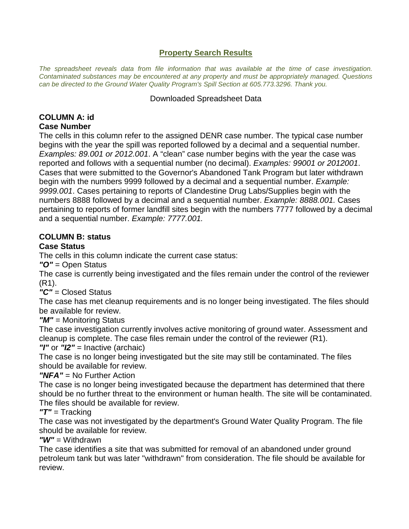#### **Property Search Results**

*The spreadsheet reveals data from file information that was available at the time of case investigation. Contaminated substances may be encountered at any property and must be appropriately managed. Questions can be directed to the Ground Water Quality Program's Spill Section at 605.773.3296. Thank you.*

#### Downloaded Spreadsheet Data

#### **COLUMN A: id Case Number**

The cells in this column refer to the assigned DENR case number. The typical case number begins with the year the spill was reported followed by a decimal and a sequential number. *Examples: 89.001 or 2012.001*. A "clean" case number begins with the year the case was reported and follows with a sequential number (no decimal). *Examples: 99001 or 2012001*. Cases that were submitted to the Governor's Abandoned Tank Program but later withdrawn begin with the numbers 9999 followed by a decimal and a sequential number. *Example: 9999.001*. Cases pertaining to reports of Clandestine Drug Labs/Supplies begin with the numbers 8888 followed by a decimal and a sequential number. *Example: 8888.001.* Cases pertaining to reports of former landfill sites begin with the numbers 7777 followed by a decimal and a sequential number. *Example: 7777.001.*

# **COLUMN B: status**

# **Case Status**

The cells in this column indicate the current case status:

*"O"* = Open Status

The case is currently being investigated and the files remain under the control of the reviewer (R1).

*"C"* = Closed Status

The case has met cleanup requirements and is no longer being investigated. The files should be available for review.

*"M"* = Monitoring Status

The case investigation currently involves active monitoring of ground water. Assessment and cleanup is complete. The case files remain under the control of the reviewer (R1).

*"I"* or *"I2"* = Inactive (archaic)

The case is no longer being investigated but the site may still be contaminated. The files should be available for review.

# *"NFA"* = No Further Action

The case is no longer being investigated because the department has determined that there should be no further threat to the environment or human health. The site will be contaminated. The files should be available for review.

*"T"* = Tracking

The case was not investigated by the department's Ground Water Quality Program. The file should be available for review.

*"W"* = Withdrawn

The case identifies a site that was submitted for removal of an abandoned under ground petroleum tank but was later "withdrawn" from consideration. The file should be available for review.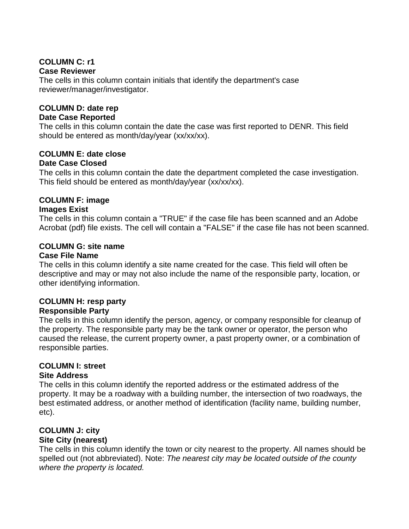# **COLUMN C: r1 Case Reviewer**

The cells in this column contain initials that identify the department's case reviewer/manager/investigator.

#### **COLUMN D: date rep**

#### **Date Case Reported**

The cells in this column contain the date the case was first reported to DENR. This field should be entered as month/day/year (xx/xx/xx).

# **COLUMN E: date close**

#### **Date Case Closed**

The cells in this column contain the date the department completed the case investigation. This field should be entered as month/day/year (xx/xx/xx).

# **COLUMN F: image**

#### **Images Exist**

The cells in this column contain a "TRUE" if the case file has been scanned and an Adobe Acrobat (pdf) file exists. The cell will contain a "FALSE" if the case file has not been scanned.

#### **COLUMN G: site name**

#### **Case File Name**

The cells in this column identify a site name created for the case. This field will often be descriptive and may or may not also include the name of the responsible party, location, or other identifying information.

# **COLUMN H: resp party**

#### **Responsible Party**

The cells in this column identify the person, agency, or company responsible for cleanup of the property. The responsible party may be the tank owner or operator, the person who caused the release, the current property owner, a past property owner, or a combination of responsible parties.

# **COLUMN I: street**

#### **Site Address**

The cells in this column identify the reported address or the estimated address of the property. It may be a roadway with a building number, the intersection of two roadways, the best estimated address, or another method of identification (facility name, building number, etc).

# **COLUMN J: city**

#### **Site City (nearest)**

The cells in this column identify the town or city nearest to the property. All names should be spelled out (not abbreviated). Note: *The nearest city may be located outside of the county where the property is located.*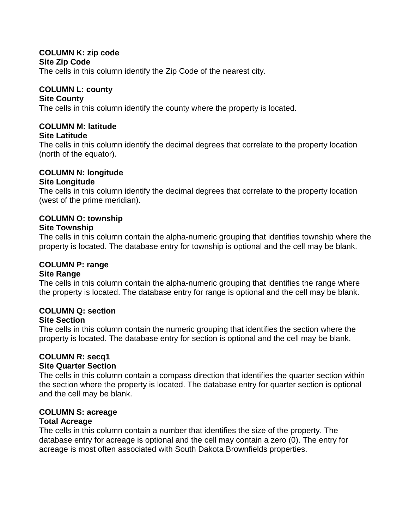#### **COLUMN K: zip code Site Zip Code**

The cells in this column identify the Zip Code of the nearest city.

#### **COLUMN L: county**

#### **Site County**

The cells in this column identify the county where the property is located.

# **COLUMN M: latitude**

#### **Site Latitude**

The cells in this column identify the decimal degrees that correlate to the property location (north of the equator).

#### **COLUMN N: longitude Site Longitude**

The cells in this column identify the decimal degrees that correlate to the property location (west of the prime meridian).

#### **COLUMN O: township Site Township**

The cells in this column contain the alpha-numeric grouping that identifies township where the property is located. The database entry for township is optional and the cell may be blank.

# **COLUMN P: range**

#### **Site Range**

The cells in this column contain the alpha-numeric grouping that identifies the range where the property is located. The database entry for range is optional and the cell may be blank.

# **COLUMN Q: section**

#### **Site Section**

The cells in this column contain the numeric grouping that identifies the section where the property is located. The database entry for section is optional and the cell may be blank.

# **COLUMN R: secq1**

#### **Site Quarter Section**

The cells in this column contain a compass direction that identifies the quarter section within the section where the property is located. The database entry for quarter section is optional and the cell may be blank.

# **COLUMN S: acreage**

#### **Total Acreage**

The cells in this column contain a number that identifies the size of the property. The database entry for acreage is optional and the cell may contain a zero (0). The entry for acreage is most often associated with South Dakota Brownfields properties.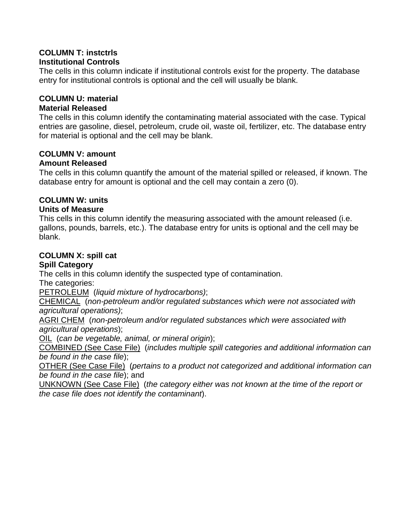#### **COLUMN T: instctrls Institutional Controls**

The cells in this column indicate if institutional controls exist for the property. The database entry for institutional controls is optional and the cell will usually be blank.

# **COLUMN U: material**

# **Material Released**

The cells in this column identify the contaminating material associated with the case. Typical entries are gasoline, diesel, petroleum, crude oil, waste oil, fertilizer, etc. The database entry for material is optional and the cell may be blank.

# **COLUMN V: amount**

# **Amount Released**

The cells in this column quantify the amount of the material spilled or released, if known. The database entry for amount is optional and the cell may contain a zero (0).

# **COLUMN W: units**

# **Units of Measure**

This cells in this column identify the measuring associated with the amount released (i.e. gallons, pounds, barrels, etc.). The database entry for units is optional and the cell may be blank.

# **COLUMN X: spill cat**

#### **Spill Category**

The cells in this column identify the suspected type of contamination.

The categories:

PETROLEUM (*liquid mixture of hydrocarbons)*;

CHEMICAL (*non-petroleum and/or regulated substances which were not associated with agricultural operations)*;

AGRI CHEM (*non-petroleum and/or regulated substances which were associated with agricultural operations*);

OIL (*can be vegetable, animal, or mineral origin*);

COMBINED (See Case File) (*includes multiple spill categories and additional information can be found in the case file*);

OTHER (See Case File) (*pertains to a product not categorized and additional information can be found in the case file*); and

UNKNOWN (See Case File) (*the category either was not known at the time of the report or the case file does not identify the contaminant*).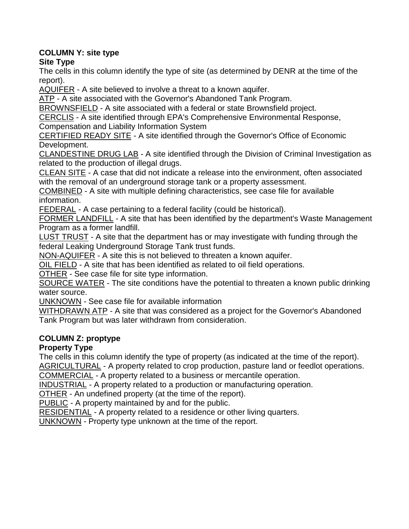# **COLUMN Y: site type**

**Site Type**

The cells in this column identify the type of site (as determined by DENR at the time of the report).

AQUIFER - A site believed to involve a threat to a known aquifer.

ATP - A site associated with the Governor's Abandoned Tank Program.

BROWNSFIELD - A site associated with a federal or state Brownsfield project.

CERCLIS - A site identified through EPA's Comprehensive Environmental Response, Compensation and Liability Information System

CERTIFIED READY SITE - A site identified through the Governor's Office of Economic Development.

CLANDESTINE DRUG LAB - A site identified through the Division of Criminal Investigation as related to the production of illegal drugs.

CLEAN SITE - A case that did not indicate a release into the environment, often associated with the removal of an underground storage tank or a property assessment.

COMBINED - A site with multiple defining characteristics, see case file for available information.

FEDERAL - A case pertaining to a federal facility (could be historical).

FORMER LANDFILL - A site that has been identified by the department's Waste Management Program as a former landfill.

LUST TRUST - A site that the department has or may investigate with funding through the federal Leaking Underground Storage Tank trust funds.

NON-AQUIFER - A site this is not believed to threaten a known aquifer.

OIL FIELD - A site that has been identified as related to oil field operations.

OTHER - See case file for site type information.

SOURCE WATER - The site conditions have the potential to threaten a known public drinking water source.

UNKNOWN - See case file for available information

WITHDRAWN ATP - A site that was considered as a project for the Governor's Abandoned Tank Program but was later withdrawn from consideration.

# **COLUMN Z: proptype**

# **Property Type**

The cells in this column identify the type of property (as indicated at the time of the report).

AGRICULTURAL - A property related to crop production, pasture land or feedlot operations.

COMMERCIAL - A property related to a business or mercantile operation.

INDUSTRIAL - A property related to a production or manufacturing operation.

OTHER - An undefined property (at the time of the report).

PUBLIC - A property maintained by and for the public.

RESIDENTIAL - A property related to a residence or other living quarters.

UNKNOWN - Property type unknown at the time of the report.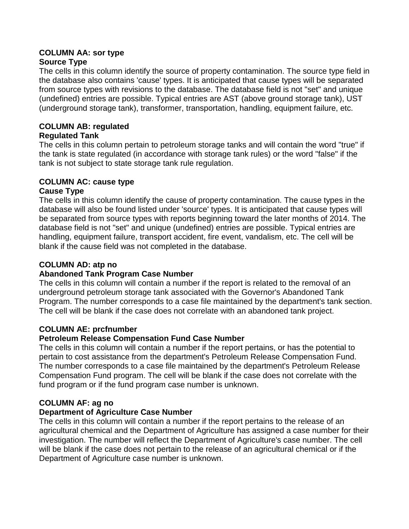#### **COLUMN AA: sor type Source Type**

The cells in this column identify the source of property contamination. The source type field in the database also contains 'cause' types. It is anticipated that cause types will be separated from source types with revisions to the database. The database field is not "set" and unique (undefined) entries are possible. Typical entries are AST (above ground storage tank), UST (underground storage tank), transformer, transportation, handling, equipment failure, etc.

#### **COLUMN AB: regulated Regulated Tank**

The cells in this column pertain to petroleum storage tanks and will contain the word "true" if the tank is state regulated (in accordance with storage tank rules) or the word "false" if the

tank is not subject to state storage tank rule regulation.

# **COLUMN AC: cause type**

# **Cause Type**

The cells in this column identify the cause of property contamination. The cause types in the database will also be found listed under 'source' types. It is anticipated that cause types will be separated from source types with reports beginning toward the later months of 2014. The database field is not "set" and unique (undefined) entries are possible. Typical entries are handling, equipment failure, transport accident, fire event, vandalism, etc. The cell will be blank if the cause field was not completed in the database.

# **COLUMN AD: atp no**

# **Abandoned Tank Program Case Number**

The cells in this column will contain a number if the report is related to the removal of an underground petroleum storage tank associated with the Governor's Abandoned Tank Program. The number corresponds to a case file maintained by the department's tank section. The cell will be blank if the case does not correlate with an abandoned tank project.

# **COLUMN AE: prcfnumber**

# **Petroleum Release Compensation Fund Case Number**

The cells in this column will contain a number if the report pertains, or has the potential to pertain to cost assistance from the department's Petroleum Release Compensation Fund. The number corresponds to a case file maintained by the department's Petroleum Release Compensation Fund program. The cell will be blank if the case does not correlate with the fund program or if the fund program case number is unknown.

# **COLUMN AF: ag no**

# **Department of Agriculture Case Number**

The cells in this column will contain a number if the report pertains to the release of an agricultural chemical and the Department of Agriculture has assigned a case number for their investigation. The number will reflect the Department of Agriculture's case number. The cell will be blank if the case does not pertain to the release of an agricultural chemical or if the Department of Agriculture case number is unknown.